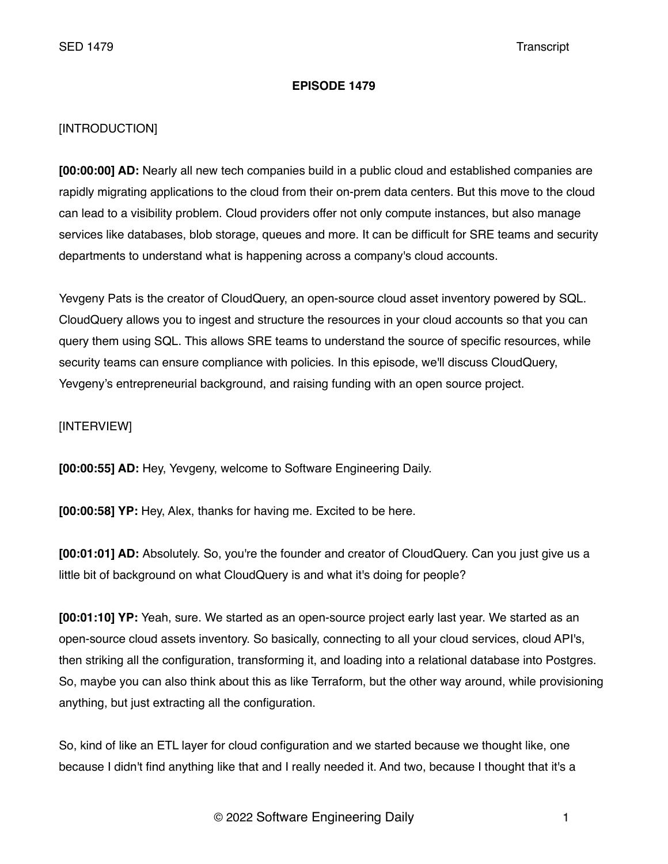# **EPISODE 1479**

# [INTRODUCTION]

**[00:00:00] AD:** Nearly all new tech companies build in a public cloud and established companies are rapidly migrating applications to the cloud from their on-prem data centers. But this move to the cloud can lead to a visibility problem. Cloud providers offer not only compute instances, but also manage services like databases, blob storage, queues and more. It can be difficult for SRE teams and security departments to understand what is happening across a company's cloud accounts.

Yevgeny Pats is the creator of CloudQuery, an open-source cloud asset inventory powered by SQL. CloudQuery allows you to ingest and structure the resources in your cloud accounts so that you can query them using SQL. This allows SRE teams to understand the source of specific resources, while security teams can ensure compliance with policies. In this episode, we'll discuss CloudQuery, Yevgeny's entrepreneurial background, and raising funding with an open source project.

[INTERVIEW]

**[00:00:55] AD:** Hey, Yevgeny, welcome to Software Engineering Daily.

**[00:00:58] YP:** Hey, Alex, thanks for having me. Excited to be here.

**[00:01:01] AD:** Absolutely. So, you're the founder and creator of CloudQuery. Can you just give us a little bit of background on what CloudQuery is and what it's doing for people?

**[00:01:10] YP:** Yeah, sure. We started as an open-source project early last year. We started as an open-source cloud assets inventory. So basically, connecting to all your cloud services, cloud API's, then striking all the configuration, transforming it, and loading into a relational database into Postgres. So, maybe you can also think about this as like Terraform, but the other way around, while provisioning anything, but just extracting all the configuration.

So, kind of like an ETL layer for cloud configuration and we started because we thought like, one because I didn't find anything like that and I really needed it. And two, because I thought that it's a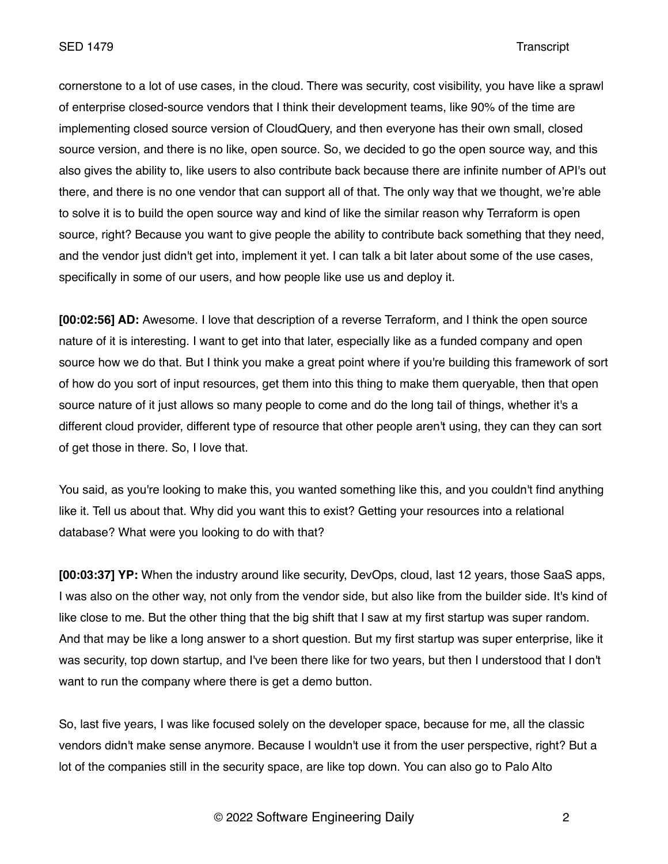cornerstone to a lot of use cases, in the cloud. There was security, cost visibility, you have like a sprawl of enterprise closed-source vendors that I think their development teams, like 90% of the time are implementing closed source version of CloudQuery, and then everyone has their own small, closed source version, and there is no like, open source. So, we decided to go the open source way, and this also gives the ability to, like users to also contribute back because there are infinite number of API's out there, and there is no one vendor that can support all of that. The only way that we thought, we're able to solve it is to build the open source way and kind of like the similar reason why Terraform is open source, right? Because you want to give people the ability to contribute back something that they need, and the vendor just didn't get into, implement it yet. I can talk a bit later about some of the use cases, specifically in some of our users, and how people like use us and deploy it.

**[00:02:56] AD:** Awesome. I love that description of a reverse Terraform, and I think the open source nature of it is interesting. I want to get into that later, especially like as a funded company and open source how we do that. But I think you make a great point where if you're building this framework of sort of how do you sort of input resources, get them into this thing to make them queryable, then that open source nature of it just allows so many people to come and do the long tail of things, whether it's a different cloud provider, different type of resource that other people aren't using, they can they can sort of get those in there. So, I love that.

You said, as you're looking to make this, you wanted something like this, and you couldn't find anything like it. Tell us about that. Why did you want this to exist? Getting your resources into a relational database? What were you looking to do with that?

**[00:03:37] YP:** When the industry around like security, DevOps, cloud, last 12 years, those SaaS apps, I was also on the other way, not only from the vendor side, but also like from the builder side. It's kind of like close to me. But the other thing that the big shift that I saw at my first startup was super random. And that may be like a long answer to a short question. But my first startup was super enterprise, like it was security, top down startup, and I've been there like for two years, but then I understood that I don't want to run the company where there is get a demo button.

So, last five years, I was like focused solely on the developer space, because for me, all the classic vendors didn't make sense anymore. Because I wouldn't use it from the user perspective, right? But a lot of the companies still in the security space, are like top down. You can also go to Palo Alto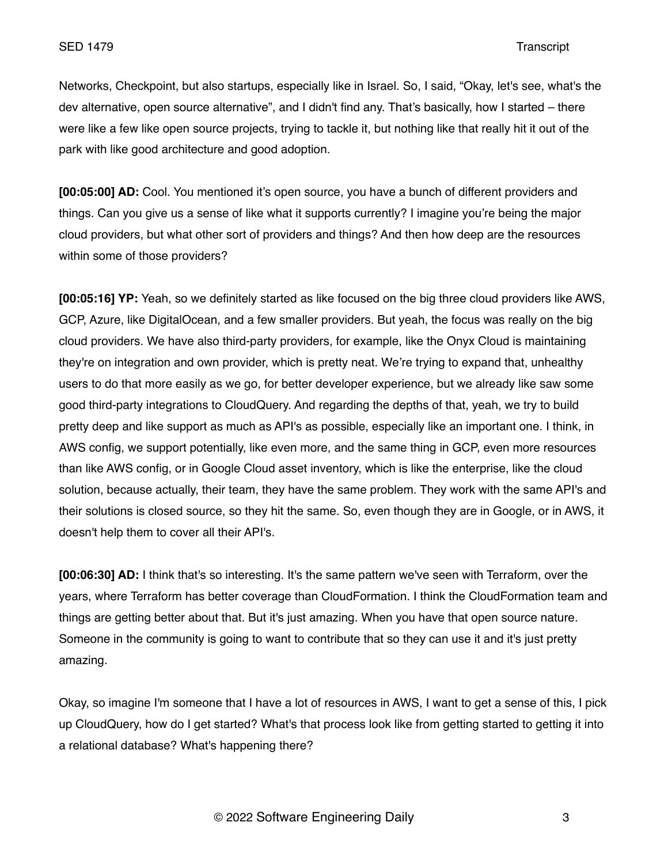Networks, Checkpoint, but also startups, especially like in Israel. So, I said, "Okay, let's see, what's the dev alternative, open source alternative", and I didn't find any. That's basically, how I started – there were like a few like open source projects, trying to tackle it, but nothing like that really hit it out of the park with like good architecture and good adoption.

**[00:05:00] AD:** Cool. You mentioned it's open source, you have a bunch of different providers and things. Can you give us a sense of like what it supports currently? I imagine you're being the major cloud providers, but what other sort of providers and things? And then how deep are the resources within some of those providers?

**[00:05:16] YP:** Yeah, so we definitely started as like focused on the big three cloud providers like AWS, GCP, Azure, like DigitalOcean, and a few smaller providers. But yeah, the focus was really on the big cloud providers. We have also third-party providers, for example, like the Onyx Cloud is maintaining they're on integration and own provider, which is pretty neat. We're trying to expand that, unhealthy users to do that more easily as we go, for better developer experience, but we already like saw some good third-party integrations to CloudQuery. And regarding the depths of that, yeah, we try to build pretty deep and like support as much as API's as possible, especially like an important one. I think, in AWS config, we support potentially, like even more, and the same thing in GCP, even more resources than like AWS config, or in Google Cloud asset inventory, which is like the enterprise, like the cloud solution, because actually, their team, they have the same problem. They work with the same API's and their solutions is closed source, so they hit the same. So, even though they are in Google, or in AWS, it doesn't help them to cover all their API's.

**[00:06:30] AD:** I think that's so interesting. It's the same pattern we've seen with Terraform, over the years, where Terraform has better coverage than CloudFormation. I think the CloudFormation team and things are getting better about that. But it's just amazing. When you have that open source nature. Someone in the community is going to want to contribute that so they can use it and it's just pretty amazing.

Okay, so imagine I'm someone that I have a lot of resources in AWS, I want to get a sense of this, I pick up CloudQuery, how do I get started? What's that process look like from getting started to getting it into a relational database? What's happening there?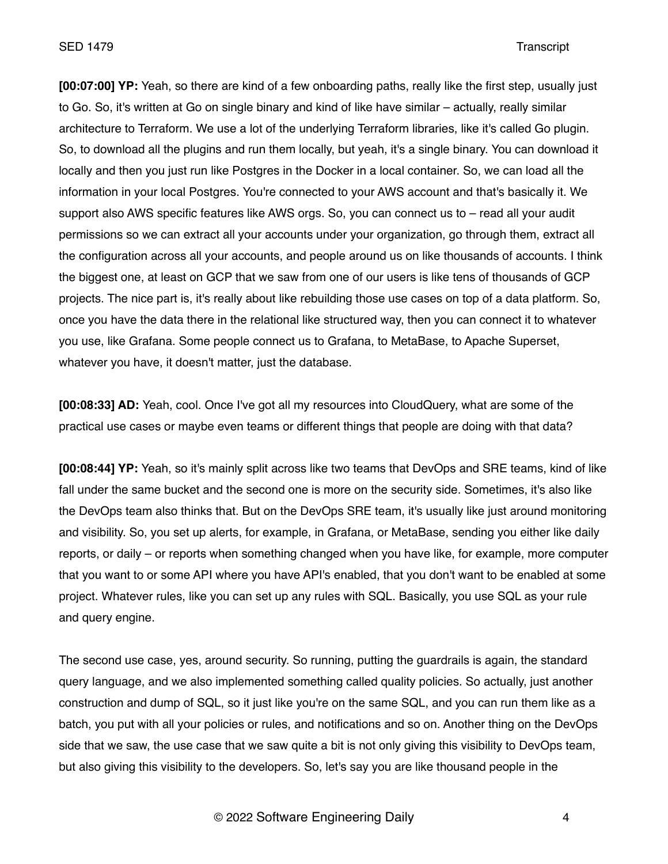**[00:07:00] YP:** Yeah, so there are kind of a few onboarding paths, really like the first step, usually just to Go. So, it's written at Go on single binary and kind of like have similar – actually, really similar architecture to Terraform. We use a lot of the underlying Terraform libraries, like it's called Go plugin. So, to download all the plugins and run them locally, but yeah, it's a single binary. You can download it locally and then you just run like Postgres in the Docker in a local container. So, we can load all the information in your local Postgres. You're connected to your AWS account and that's basically it. We support also AWS specific features like AWS orgs. So, you can connect us to – read all your audit permissions so we can extract all your accounts under your organization, go through them, extract all the configuration across all your accounts, and people around us on like thousands of accounts. I think the biggest one, at least on GCP that we saw from one of our users is like tens of thousands of GCP projects. The nice part is, it's really about like rebuilding those use cases on top of a data platform. So, once you have the data there in the relational like structured way, then you can connect it to whatever you use, like Grafana. Some people connect us to Grafana, to MetaBase, to Apache Superset, whatever you have, it doesn't matter, just the database.

**[00:08:33] AD:** Yeah, cool. Once I've got all my resources into CloudQuery, what are some of the practical use cases or maybe even teams or different things that people are doing with that data?

**[00:08:44] YP:** Yeah, so it's mainly split across like two teams that DevOps and SRE teams, kind of like fall under the same bucket and the second one is more on the security side. Sometimes, it's also like the DevOps team also thinks that. But on the DevOps SRE team, it's usually like just around monitoring and visibility. So, you set up alerts, for example, in Grafana, or MetaBase, sending you either like daily reports, or daily – or reports when something changed when you have like, for example, more computer that you want to or some API where you have API's enabled, that you don't want to be enabled at some project. Whatever rules, like you can set up any rules with SQL. Basically, you use SQL as your rule and query engine.

The second use case, yes, around security. So running, putting the guardrails is again, the standard query language, and we also implemented something called quality policies. So actually, just another construction and dump of SQL, so it just like you're on the same SQL, and you can run them like as a batch, you put with all your policies or rules, and notifications and so on. Another thing on the DevOps side that we saw, the use case that we saw quite a bit is not only giving this visibility to DevOps team, but also giving this visibility to the developers. So, let's say you are like thousand people in the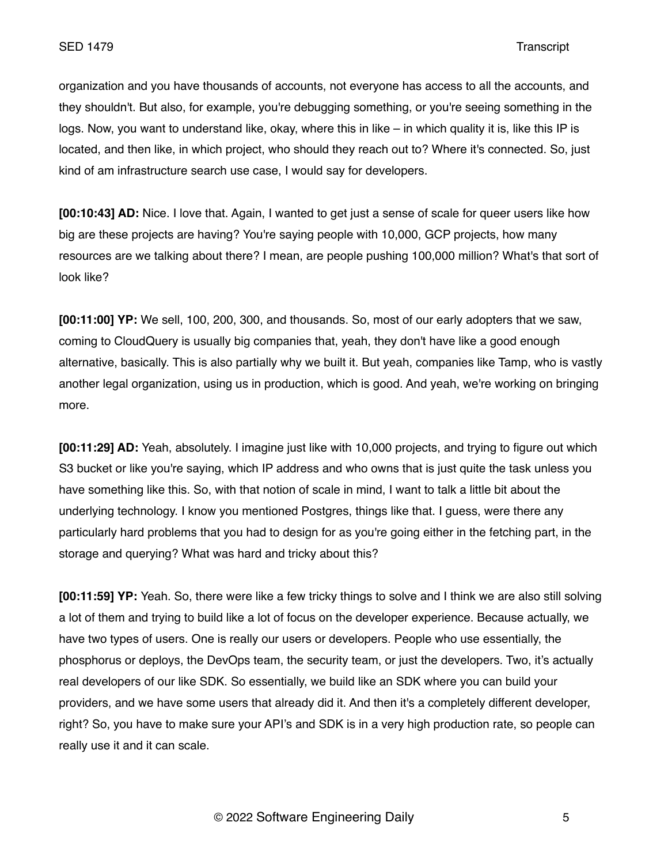organization and you have thousands of accounts, not everyone has access to all the accounts, and they shouldn't. But also, for example, you're debugging something, or you're seeing something in the logs. Now, you want to understand like, okay, where this in like – in which quality it is, like this IP is located, and then like, in which project, who should they reach out to? Where it's connected. So, just kind of am infrastructure search use case, I would say for developers.

**[00:10:43] AD:** Nice. I love that. Again, I wanted to get just a sense of scale for queer users like how big are these projects are having? You're saying people with 10,000, GCP projects, how many resources are we talking about there? I mean, are people pushing 100,000 million? What's that sort of look like?

**[00:11:00] YP:** We sell, 100, 200, 300, and thousands. So, most of our early adopters that we saw, coming to CloudQuery is usually big companies that, yeah, they don't have like a good enough alternative, basically. This is also partially why we built it. But yeah, companies like Tamp, who is vastly another legal organization, using us in production, which is good. And yeah, we're working on bringing more.

**[00:11:29] AD:** Yeah, absolutely. I imagine just like with 10,000 projects, and trying to figure out which S3 bucket or like you're saying, which IP address and who owns that is just quite the task unless you have something like this. So, with that notion of scale in mind, I want to talk a little bit about the underlying technology. I know you mentioned Postgres, things like that. I guess, were there any particularly hard problems that you had to design for as you're going either in the fetching part, in the storage and querying? What was hard and tricky about this?

**[00:11:59] YP:** Yeah. So, there were like a few tricky things to solve and I think we are also still solving a lot of them and trying to build like a lot of focus on the developer experience. Because actually, we have two types of users. One is really our users or developers. People who use essentially, the phosphorus or deploys, the DevOps team, the security team, or just the developers. Two, it's actually real developers of our like SDK. So essentially, we build like an SDK where you can build your providers, and we have some users that already did it. And then it's a completely different developer, right? So, you have to make sure your API's and SDK is in a very high production rate, so people can really use it and it can scale.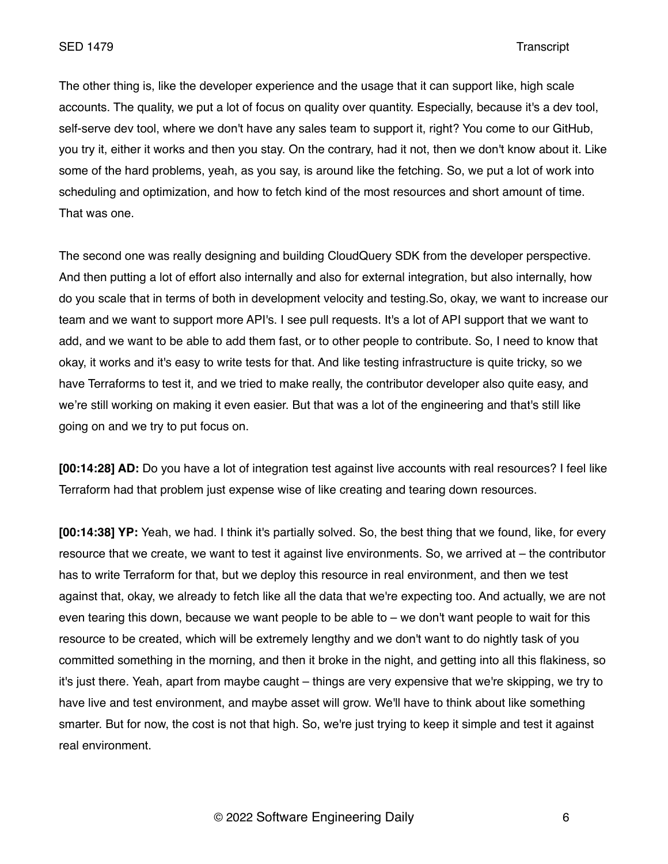The other thing is, like the developer experience and the usage that it can support like, high scale accounts. The quality, we put a lot of focus on quality over quantity. Especially, because it's a dev tool, self-serve dev tool, where we don't have any sales team to support it, right? You come to our GitHub, you try it, either it works and then you stay. On the contrary, had it not, then we don't know about it. Like some of the hard problems, yeah, as you say, is around like the fetching. So, we put a lot of work into scheduling and optimization, and how to fetch kind of the most resources and short amount of time. That was one.

The second one was really designing and building CloudQuery SDK from the developer perspective. And then putting a lot of effort also internally and also for external integration, but also internally, how do you scale that in terms of both in development velocity and testing.So, okay, we want to increase our team and we want to support more API's. I see pull requests. It's a lot of API support that we want to add, and we want to be able to add them fast, or to other people to contribute. So, I need to know that okay, it works and it's easy to write tests for that. And like testing infrastructure is quite tricky, so we have Terraforms to test it, and we tried to make really, the contributor developer also quite easy, and we're still working on making it even easier. But that was a lot of the engineering and that's still like going on and we try to put focus on.

**[00:14:28] AD:** Do you have a lot of integration test against live accounts with real resources? I feel like Terraform had that problem just expense wise of like creating and tearing down resources.

**[00:14:38] YP:** Yeah, we had. I think it's partially solved. So, the best thing that we found, like, for every resource that we create, we want to test it against live environments. So, we arrived at – the contributor has to write Terraform for that, but we deploy this resource in real environment, and then we test against that, okay, we already to fetch like all the data that we're expecting too. And actually, we are not even tearing this down, because we want people to be able to – we don't want people to wait for this resource to be created, which will be extremely lengthy and we don't want to do nightly task of you committed something in the morning, and then it broke in the night, and getting into all this flakiness, so it's just there. Yeah, apart from maybe caught – things are very expensive that we're skipping, we try to have live and test environment, and maybe asset will grow. We'll have to think about like something smarter. But for now, the cost is not that high. So, we're just trying to keep it simple and test it against real environment.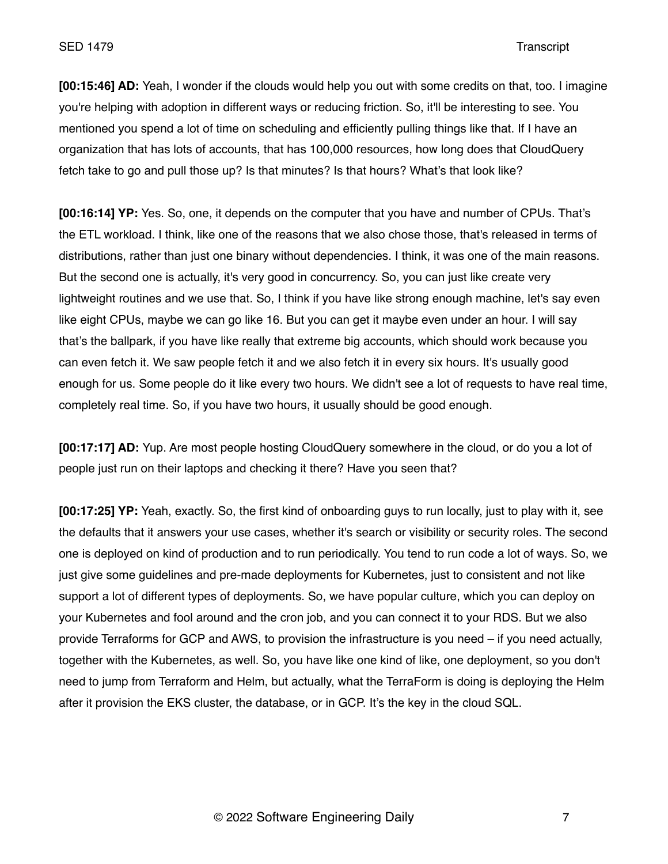**[00:15:46] AD:** Yeah, I wonder if the clouds would help you out with some credits on that, too. I imagine you're helping with adoption in different ways or reducing friction. So, it'll be interesting to see. You mentioned you spend a lot of time on scheduling and efficiently pulling things like that. If I have an organization that has lots of accounts, that has 100,000 resources, how long does that CloudQuery fetch take to go and pull those up? Is that minutes? Is that hours? What's that look like?

**[00:16:14] YP:** Yes. So, one, it depends on the computer that you have and number of CPUs. That's the ETL workload. I think, like one of the reasons that we also chose those, that's released in terms of distributions, rather than just one binary without dependencies. I think, it was one of the main reasons. But the second one is actually, it's very good in concurrency. So, you can just like create very lightweight routines and we use that. So, I think if you have like strong enough machine, let's say even like eight CPUs, maybe we can go like 16. But you can get it maybe even under an hour. I will say that's the ballpark, if you have like really that extreme big accounts, which should work because you can even fetch it. We saw people fetch it and we also fetch it in every six hours. It's usually good enough for us. Some people do it like every two hours. We didn't see a lot of requests to have real time, completely real time. So, if you have two hours, it usually should be good enough.

**[00:17:17] AD:** Yup. Are most people hosting CloudQuery somewhere in the cloud, or do you a lot of people just run on their laptops and checking it there? Have you seen that?

**[00:17:25] YP:** Yeah, exactly. So, the first kind of onboarding guys to run locally, just to play with it, see the defaults that it answers your use cases, whether it's search or visibility or security roles. The second one is deployed on kind of production and to run periodically. You tend to run code a lot of ways. So, we just give some guidelines and pre-made deployments for Kubernetes, just to consistent and not like support a lot of different types of deployments. So, we have popular culture, which you can deploy on your Kubernetes and fool around and the cron job, and you can connect it to your RDS. But we also provide Terraforms for GCP and AWS, to provision the infrastructure is you need – if you need actually, together with the Kubernetes, as well. So, you have like one kind of like, one deployment, so you don't need to jump from Terraform and Helm, but actually, what the TerraForm is doing is deploying the Helm after it provision the EKS cluster, the database, or in GCP. It's the key in the cloud SQL.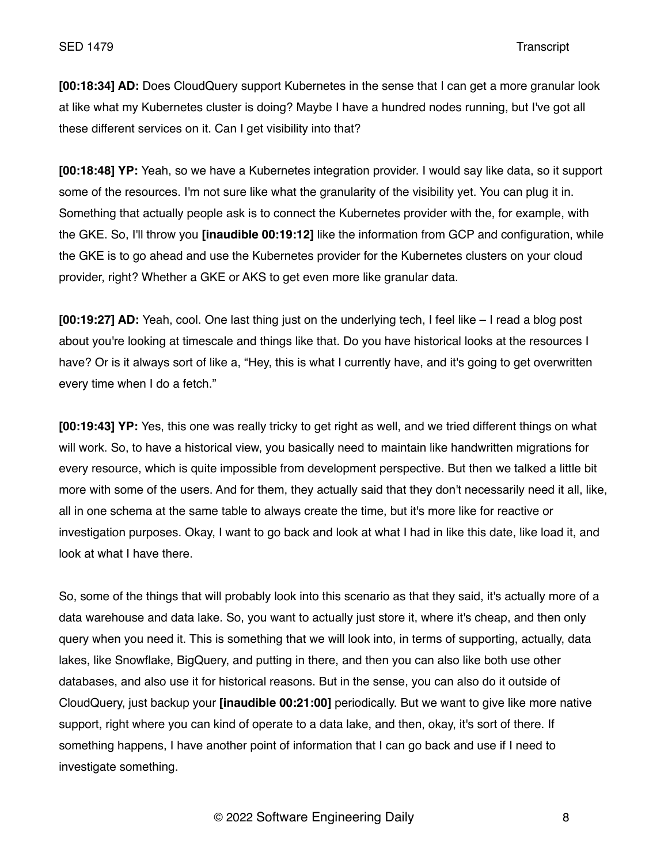**[00:18:34] AD:** Does CloudQuery support Kubernetes in the sense that I can get a more granular look at like what my Kubernetes cluster is doing? Maybe I have a hundred nodes running, but I've got all these different services on it. Can I get visibility into that?

**[00:18:48] YP:** Yeah, so we have a Kubernetes integration provider. I would say like data, so it support some of the resources. I'm not sure like what the granularity of the visibility yet. You can plug it in. Something that actually people ask is to connect the Kubernetes provider with the, for example, with the GKE. So, I'll throw you **[inaudible 00:19:12]** like the information from GCP and configuration, while the GKE is to go ahead and use the Kubernetes provider for the Kubernetes clusters on your cloud provider, right? Whether a GKE or AKS to get even more like granular data.

**[00:19:27] AD:** Yeah, cool. One last thing just on the underlying tech, I feel like – I read a blog post about you're looking at timescale and things like that. Do you have historical looks at the resources I have? Or is it always sort of like a, "Hey, this is what I currently have, and it's going to get overwritten every time when I do a fetch."

**[00:19:43] YP:** Yes, this one was really tricky to get right as well, and we tried different things on what will work. So, to have a historical view, you basically need to maintain like handwritten migrations for every resource, which is quite impossible from development perspective. But then we talked a little bit more with some of the users. And for them, they actually said that they don't necessarily need it all, like, all in one schema at the same table to always create the time, but it's more like for reactive or investigation purposes. Okay, I want to go back and look at what I had in like this date, like load it, and look at what I have there.

So, some of the things that will probably look into this scenario as that they said, it's actually more of a data warehouse and data lake. So, you want to actually just store it, where it's cheap, and then only query when you need it. This is something that we will look into, in terms of supporting, actually, data lakes, like Snowflake, BigQuery, and putting in there, and then you can also like both use other databases, and also use it for historical reasons. But in the sense, you can also do it outside of CloudQuery, just backup your **[inaudible 00:21:00]** periodically. But we want to give like more native support, right where you can kind of operate to a data lake, and then, okay, it's sort of there. If something happens, I have another point of information that I can go back and use if I need to investigate something.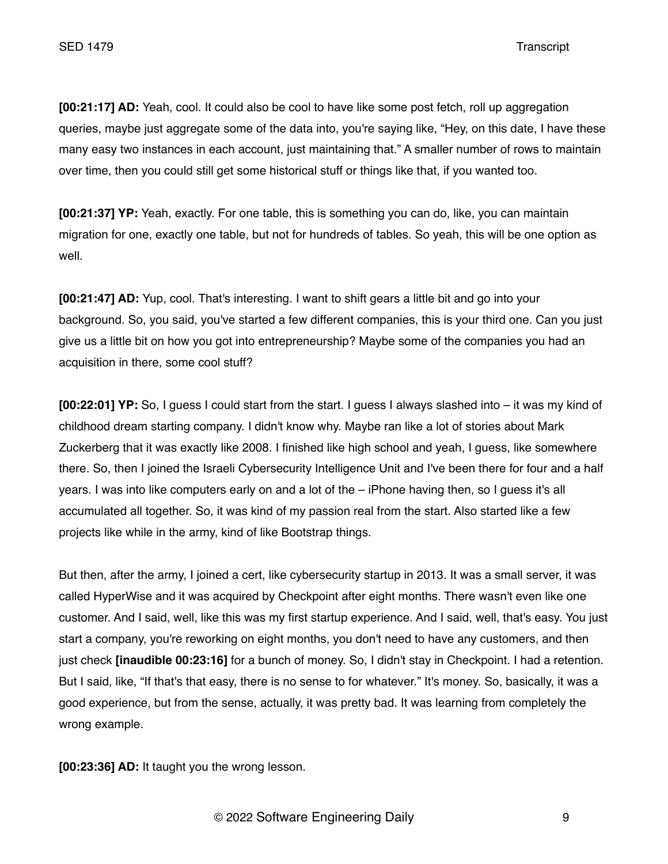**[00:21:17] AD:** Yeah, cool. It could also be cool to have like some post fetch, roll up aggregation queries, maybe just aggregate some of the data into, you're saying like, "Hey, on this date, I have these many easy two instances in each account, just maintaining that." A smaller number of rows to maintain over time, then you could still get some historical stuff or things like that, if you wanted too.

**[00:21:37] YP:** Yeah, exactly. For one table, this is something you can do, like, you can maintain migration for one, exactly one table, but not for hundreds of tables. So yeah, this will be one option as well.

**[00:21:47] AD:** Yup, cool. That's interesting. I want to shift gears a little bit and go into your background. So, you said, you've started a few different companies, this is your third one. Can you just give us a little bit on how you got into entrepreneurship? Maybe some of the companies you had an acquisition in there, some cool stuff?

**[00:22:01] YP:** So, I guess I could start from the start. I guess I always slashed into – it was my kind of childhood dream starting company. I didn't know why. Maybe ran like a lot of stories about Mark Zuckerberg that it was exactly like 2008. I finished like high school and yeah, I guess, like somewhere there. So, then I joined the Israeli Cybersecurity Intelligence Unit and I've been there for four and a half years. I was into like computers early on and a lot of the – iPhone having then, so I guess it's all accumulated all together. So, it was kind of my passion real from the start. Also started like a few projects like while in the army, kind of like Bootstrap things.

But then, after the army, I joined a cert, like cybersecurity startup in 2013. It was a small server, it was called HyperWise and it was acquired by Checkpoint after eight months. There wasn't even like one customer. And I said, well, like this was my first startup experience. And I said, well, that's easy. You just start a company, you're reworking on eight months, you don't need to have any customers, and then just check **[inaudible 00:23:16]** for a bunch of money. So, I didn't stay in Checkpoint. I had a retention. But I said, like, "If that's that easy, there is no sense to for whatever." It's money. So, basically, it was a good experience, but from the sense, actually, it was pretty bad. It was learning from completely the wrong example.

**[00:23:36] AD:** It taught you the wrong lesson.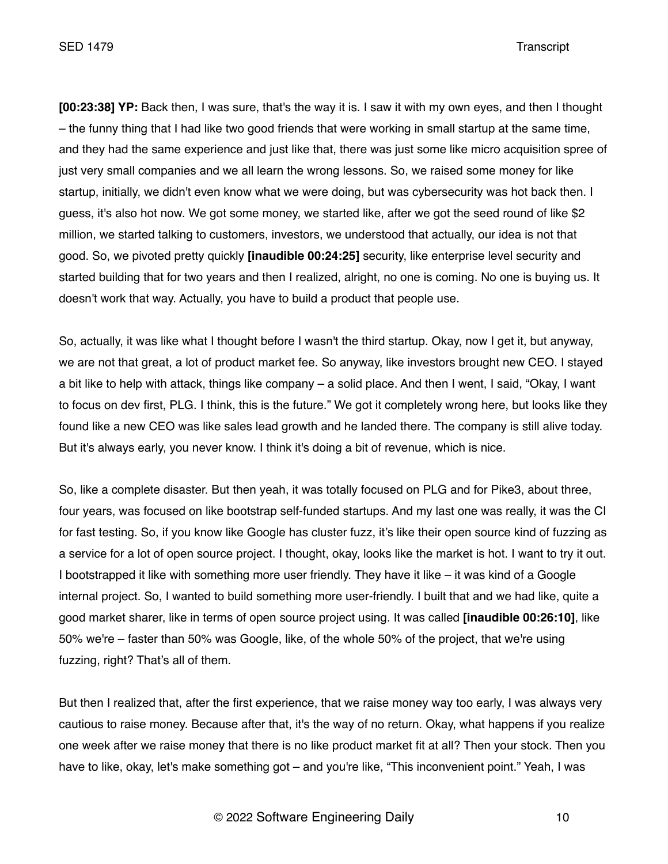**[00:23:38] YP:** Back then, I was sure, that's the way it is. I saw it with my own eyes, and then I thought – the funny thing that I had like two good friends that were working in small startup at the same time, and they had the same experience and just like that, there was just some like micro acquisition spree of just very small companies and we all learn the wrong lessons. So, we raised some money for like startup, initially, we didn't even know what we were doing, but was cybersecurity was hot back then. I guess, it's also hot now. We got some money, we started like, after we got the seed round of like \$2 million, we started talking to customers, investors, we understood that actually, our idea is not that good. So, we pivoted pretty quickly **[inaudible 00:24:25]** security, like enterprise level security and started building that for two years and then I realized, alright, no one is coming. No one is buying us. It doesn't work that way. Actually, you have to build a product that people use.

So, actually, it was like what I thought before I wasn't the third startup. Okay, now I get it, but anyway, we are not that great, a lot of product market fee. So anyway, like investors brought new CEO. I stayed a bit like to help with attack, things like company – a solid place. And then I went, I said, "Okay, I want to focus on dev first, PLG. I think, this is the future." We got it completely wrong here, but looks like they found like a new CEO was like sales lead growth and he landed there. The company is still alive today. But it's always early, you never know. I think it's doing a bit of revenue, which is nice.

So, like a complete disaster. But then yeah, it was totally focused on PLG and for Pike3, about three, four years, was focused on like bootstrap self-funded startups. And my last one was really, it was the CI for fast testing. So, if you know like Google has cluster fuzz, it's like their open source kind of fuzzing as a service for a lot of open source project. I thought, okay, looks like the market is hot. I want to try it out. I bootstrapped it like with something more user friendly. They have it like – it was kind of a Google internal project. So, I wanted to build something more user-friendly. I built that and we had like, quite a good market sharer, like in terms of open source project using. It was called **[inaudible 00:26:10]**, like 50% we're – faster than 50% was Google, like, of the whole 50% of the project, that we're using fuzzing, right? That's all of them.

But then I realized that, after the first experience, that we raise money way too early, I was always very cautious to raise money. Because after that, it's the way of no return. Okay, what happens if you realize one week after we raise money that there is no like product market fit at all? Then your stock. Then you have to like, okay, let's make something got – and you're like, "This inconvenient point." Yeah, I was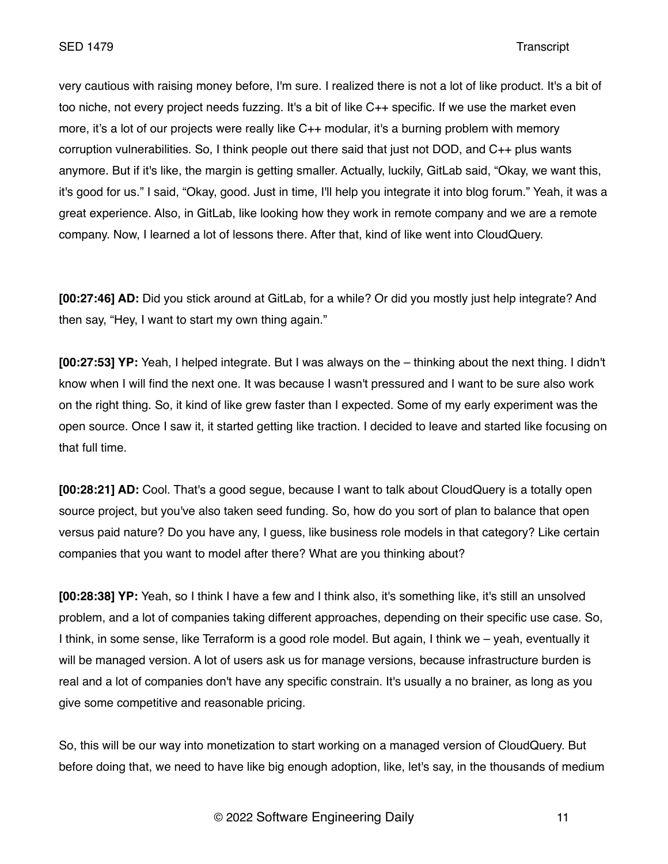very cautious with raising money before, I'm sure. I realized there is not a lot of like product. It's a bit of too niche, not every project needs fuzzing. It's a bit of like C++ specific. If we use the market even more, it's a lot of our projects were really like C++ modular, it's a burning problem with memory corruption vulnerabilities. So, I think people out there said that just not DOD, and C++ plus wants anymore. But if it's like, the margin is getting smaller. Actually, luckily, GitLab said, "Okay, we want this, it's good for us." I said, "Okay, good. Just in time, I'll help you integrate it into blog forum." Yeah, it was a great experience. Also, in GitLab, like looking how they work in remote company and we are a remote company. Now, I learned a lot of lessons there. After that, kind of like went into CloudQuery.

**[00:27:46] AD:** Did you stick around at GitLab, for a while? Or did you mostly just help integrate? And then say, "Hey, I want to start my own thing again."

**[00:27:53] YP:** Yeah, I helped integrate. But I was always on the – thinking about the next thing. I didn't know when I will find the next one. It was because I wasn't pressured and I want to be sure also work on the right thing. So, it kind of like grew faster than I expected. Some of my early experiment was the open source. Once I saw it, it started getting like traction. I decided to leave and started like focusing on that full time.

**[00:28:21] AD:** Cool. That's a good segue, because I want to talk about CloudQuery is a totally open source project, but you've also taken seed funding. So, how do you sort of plan to balance that open versus paid nature? Do you have any, I guess, like business role models in that category? Like certain companies that you want to model after there? What are you thinking about?

**[00:28:38] YP:** Yeah, so I think I have a few and I think also, it's something like, it's still an unsolved problem, and a lot of companies taking different approaches, depending on their specific use case. So, I think, in some sense, like Terraform is a good role model. But again, I think we – yeah, eventually it will be managed version. A lot of users ask us for manage versions, because infrastructure burden is real and a lot of companies don't have any specific constrain. It's usually a no brainer, as long as you give some competitive and reasonable pricing.

So, this will be our way into monetization to start working on a managed version of CloudQuery. But before doing that, we need to have like big enough adoption, like, let's say, in the thousands of medium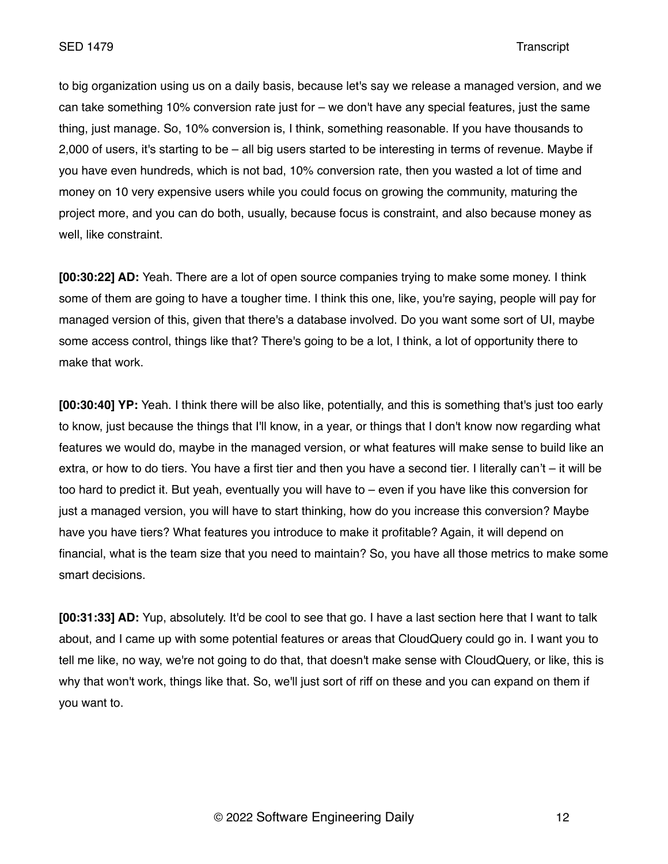to big organization using us on a daily basis, because let's say we release a managed version, and we can take something 10% conversion rate just for – we don't have any special features, just the same thing, just manage. So, 10% conversion is, I think, something reasonable. If you have thousands to 2,000 of users, it's starting to be – all big users started to be interesting in terms of revenue. Maybe if you have even hundreds, which is not bad, 10% conversion rate, then you wasted a lot of time and money on 10 very expensive users while you could focus on growing the community, maturing the project more, and you can do both, usually, because focus is constraint, and also because money as well, like constraint.

**[00:30:22] AD:** Yeah. There are a lot of open source companies trying to make some money. I think some of them are going to have a tougher time. I think this one, like, you're saying, people will pay for managed version of this, given that there's a database involved. Do you want some sort of UI, maybe some access control, things like that? There's going to be a lot, I think, a lot of opportunity there to make that work.

**[00:30:40] YP:** Yeah. I think there will be also like, potentially, and this is something that's just too early to know, just because the things that I'll know, in a year, or things that I don't know now regarding what features we would do, maybe in the managed version, or what features will make sense to build like an extra, or how to do tiers. You have a first tier and then you have a second tier. I literally can't – it will be too hard to predict it. But yeah, eventually you will have to – even if you have like this conversion for just a managed version, you will have to start thinking, how do you increase this conversion? Maybe have you have tiers? What features you introduce to make it profitable? Again, it will depend on financial, what is the team size that you need to maintain? So, you have all those metrics to make some smart decisions.

**[00:31:33] AD:** Yup, absolutely. It'd be cool to see that go. I have a last section here that I want to talk about, and I came up with some potential features or areas that CloudQuery could go in. I want you to tell me like, no way, we're not going to do that, that doesn't make sense with CloudQuery, or like, this is why that won't work, things like that. So, we'll just sort of riff on these and you can expand on them if you want to.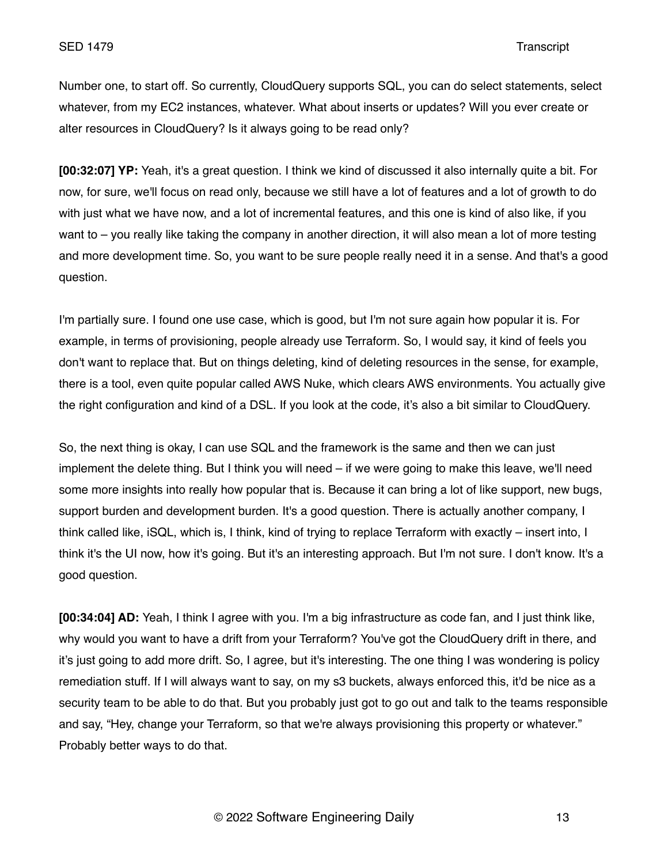Number one, to start off. So currently, CloudQuery supports SQL, you can do select statements, select whatever, from my EC2 instances, whatever. What about inserts or updates? Will you ever create or alter resources in CloudQuery? Is it always going to be read only?

**[00:32:07] YP:** Yeah, it's a great question. I think we kind of discussed it also internally quite a bit. For now, for sure, we'll focus on read only, because we still have a lot of features and a lot of growth to do with just what we have now, and a lot of incremental features, and this one is kind of also like, if you want to – you really like taking the company in another direction, it will also mean a lot of more testing and more development time. So, you want to be sure people really need it in a sense. And that's a good question.

I'm partially sure. I found one use case, which is good, but I'm not sure again how popular it is. For example, in terms of provisioning, people already use Terraform. So, I would say, it kind of feels you don't want to replace that. But on things deleting, kind of deleting resources in the sense, for example, there is a tool, even quite popular called AWS Nuke, which clears AWS environments. You actually give the right configuration and kind of a DSL. If you look at the code, it's also a bit similar to CloudQuery.

So, the next thing is okay, I can use SQL and the framework is the same and then we can just implement the delete thing. But I think you will need – if we were going to make this leave, we'll need some more insights into really how popular that is. Because it can bring a lot of like support, new bugs, support burden and development burden. It's a good question. There is actually another company, I think called like, iSQL, which is, I think, kind of trying to replace Terraform with exactly – insert into, I think it's the UI now, how it's going. But it's an interesting approach. But I'm not sure. I don't know. It's a good question.

**[00:34:04] AD:** Yeah, I think I agree with you. I'm a big infrastructure as code fan, and I just think like, why would you want to have a drift from your Terraform? You've got the CloudQuery drift in there, and it's just going to add more drift. So, I agree, but it's interesting. The one thing I was wondering is policy remediation stuff. If I will always want to say, on my s3 buckets, always enforced this, it'd be nice as a security team to be able to do that. But you probably just got to go out and talk to the teams responsible and say, "Hey, change your Terraform, so that we're always provisioning this property or whatever." Probably better ways to do that.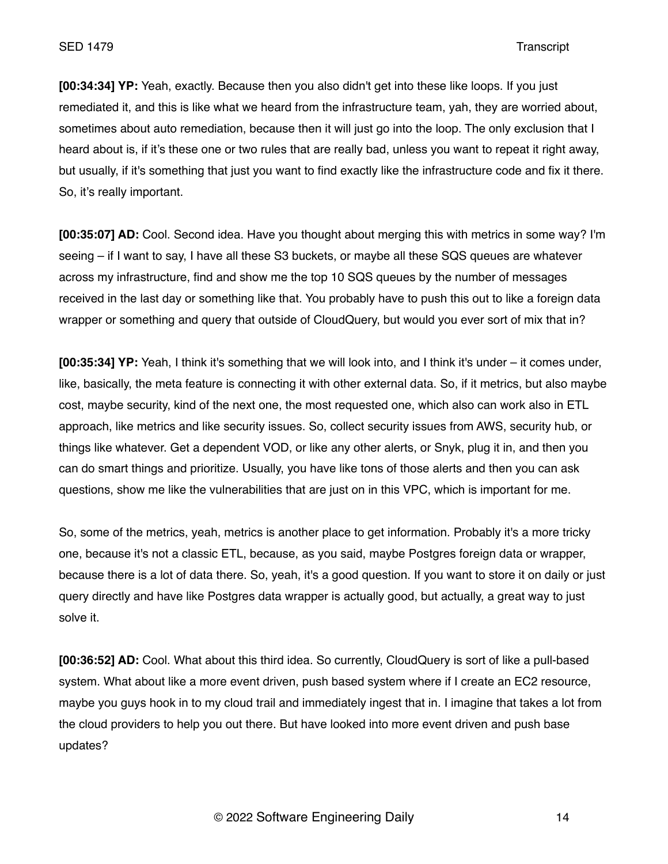**[00:34:34] YP:** Yeah, exactly. Because then you also didn't get into these like loops. If you just remediated it, and this is like what we heard from the infrastructure team, yah, they are worried about, sometimes about auto remediation, because then it will just go into the loop. The only exclusion that I heard about is, if it's these one or two rules that are really bad, unless you want to repeat it right away, but usually, if it's something that just you want to find exactly like the infrastructure code and fix it there. So, it's really important.

**[00:35:07] AD:** Cool. Second idea. Have you thought about merging this with metrics in some way? I'm seeing – if I want to say, I have all these S3 buckets, or maybe all these SQS queues are whatever across my infrastructure, find and show me the top 10 SQS queues by the number of messages received in the last day or something like that. You probably have to push this out to like a foreign data wrapper or something and query that outside of CloudQuery, but would you ever sort of mix that in?

**[00:35:34] YP:** Yeah, I think it's something that we will look into, and I think it's under – it comes under, like, basically, the meta feature is connecting it with other external data. So, if it metrics, but also maybe cost, maybe security, kind of the next one, the most requested one, which also can work also in ETL approach, like metrics and like security issues. So, collect security issues from AWS, security hub, or things like whatever. Get a dependent VOD, or like any other alerts, or Snyk, plug it in, and then you can do smart things and prioritize. Usually, you have like tons of those alerts and then you can ask questions, show me like the vulnerabilities that are just on in this VPC, which is important for me.

So, some of the metrics, yeah, metrics is another place to get information. Probably it's a more tricky one, because it's not a classic ETL, because, as you said, maybe Postgres foreign data or wrapper, because there is a lot of data there. So, yeah, it's a good question. If you want to store it on daily or just query directly and have like Postgres data wrapper is actually good, but actually, a great way to just solve it.

**[00:36:52] AD:** Cool. What about this third idea. So currently, CloudQuery is sort of like a pull-based system. What about like a more event driven, push based system where if I create an EC2 resource, maybe you guys hook in to my cloud trail and immediately ingest that in. I imagine that takes a lot from the cloud providers to help you out there. But have looked into more event driven and push base updates?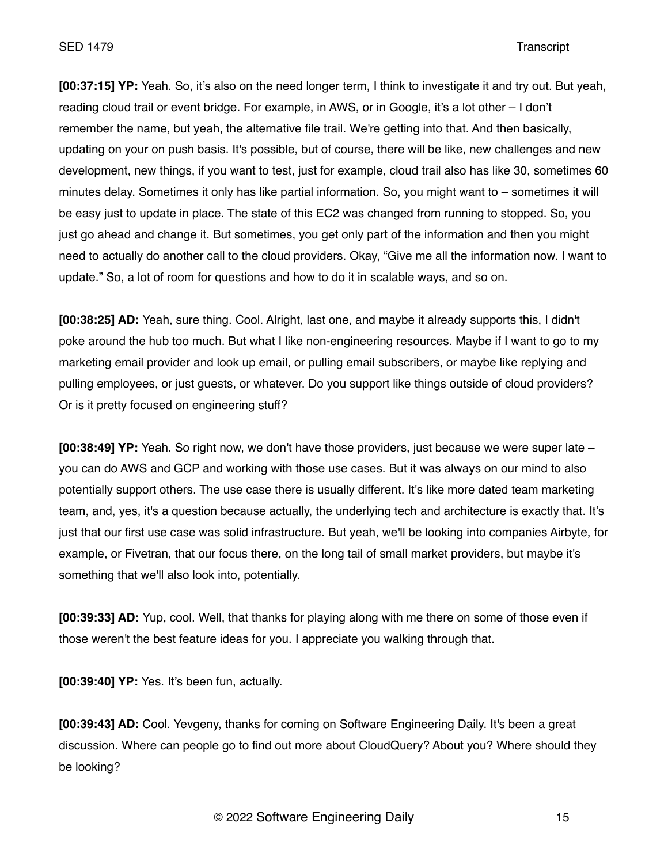**[00:37:15] YP:** Yeah. So, it's also on the need longer term, I think to investigate it and try out. But yeah, reading cloud trail or event bridge. For example, in AWS, or in Google, it's a lot other – I don't remember the name, but yeah, the alternative file trail. We're getting into that. And then basically, updating on your on push basis. It's possible, but of course, there will be like, new challenges and new development, new things, if you want to test, just for example, cloud trail also has like 30, sometimes 60 minutes delay. Sometimes it only has like partial information. So, you might want to – sometimes it will be easy just to update in place. The state of this EC2 was changed from running to stopped. So, you just go ahead and change it. But sometimes, you get only part of the information and then you might need to actually do another call to the cloud providers. Okay, "Give me all the information now. I want to update." So, a lot of room for questions and how to do it in scalable ways, and so on.

**[00:38:25] AD:** Yeah, sure thing. Cool. Alright, last one, and maybe it already supports this, I didn't poke around the hub too much. But what I like non-engineering resources. Maybe if I want to go to my marketing email provider and look up email, or pulling email subscribers, or maybe like replying and pulling employees, or just guests, or whatever. Do you support like things outside of cloud providers? Or is it pretty focused on engineering stuff?

**[00:38:49] YP:** Yeah. So right now, we don't have those providers, just because we were super late – you can do AWS and GCP and working with those use cases. But it was always on our mind to also potentially support others. The use case there is usually different. It's like more dated team marketing team, and, yes, it's a question because actually, the underlying tech and architecture is exactly that. It's just that our first use case was solid infrastructure. But yeah, we'll be looking into companies Airbyte, for example, or Fivetran, that our focus there, on the long tail of small market providers, but maybe it's something that we'll also look into, potentially.

**[00:39:33] AD:** Yup, cool. Well, that thanks for playing along with me there on some of those even if those weren't the best feature ideas for you. I appreciate you walking through that.

**[00:39:40] YP:** Yes. It's been fun, actually.

**[00:39:43] AD:** Cool. Yevgeny, thanks for coming on Software Engineering Daily. It's been a great discussion. Where can people go to find out more about CloudQuery? About you? Where should they be looking?